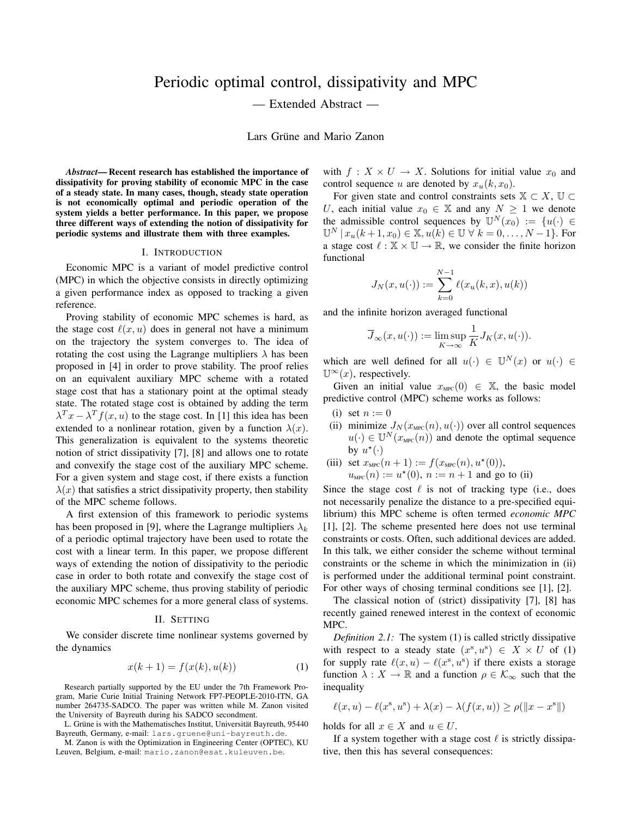# Periodic optimal control, dissipativity and MPC

— Extended Abstract —

Lars Grüne and Mario Zanon

*Abstract*— Recent research has established the importance of dissipativity for proving stability of economic MPC in the case of a steady state. In many cases, though, steady state operation is not economically optimal and periodic operation of the system yields a better performance. In this paper, we propose three different ways of extending the notion of dissipativity for periodic systems and illustrate them with three examples.

### I. INTRODUCTION

Economic MPC is a variant of model predictive control (MPC) in which the objective consists in directly optimizing a given performance index as opposed to tracking a given reference.

Proving stability of economic MPC schemes is hard, as the stage cost  $\ell(x, u)$  does in general not have a minimum on the trajectory the system converges to. The idea of rotating the cost using the Lagrange multipliers  $\lambda$  has been proposed in [4] in order to prove stability. The proof relies on an equivalent auxiliary MPC scheme with a rotated stage cost that has a stationary point at the optimal steady state. The rotated stage cost is obtained by adding the term  $\lambda^T x - \lambda^T f(x, u)$  to the stage cost. In [1] this idea has been extended to a nonlinear rotation, given by a function  $\lambda(x)$ . This generalization is equivalent to the systems theoretic notion of strict dissipativity [7], [8] and allows one to rotate and convexify the stage cost of the auxiliary MPC scheme. For a given system and stage cost, if there exists a function  $\lambda(x)$  that satisfies a strict dissipativity property, then stability of the MPC scheme follows.

A first extension of this framework to periodic systems has been proposed in [9], where the Lagrange multipliers  $\lambda_k$ of a periodic optimal trajectory have been used to rotate the cost with a linear term. In this paper, we propose different ways of extending the notion of dissipativity to the periodic case in order to both rotate and convexify the stage cost of the auxiliary MPC scheme, thus proving stability of periodic economic MPC schemes for a more general class of systems.

## II. SETTING

We consider discrete time nonlinear systems governed by the dynamics

$$
x(k+1) = f(x(k), u(k))
$$
 (1)

Research partially supported by the EU under the 7th Framework Program, Marie Curie Initial Training Network FP7-PEOPLE-2010-ITN, GA number 264735-SADCO. The paper was written while M. Zanon visited the University of Bayreuth during his SADCO secondment.

L. Grüne is with the Mathematisches Institut, Universität Bayreuth, 95440 Bayreuth, Germany, e-mail: lars.gruene@uni-bayreuth.de.

M. Zanon is with the Optimization in Engineering Center (OPTEC), KU Leuven, Belgium, e-mail: mario.zanon@esat.kuleuven.be.

with  $f: X \times U \rightarrow X$ . Solutions for initial value  $x_0$  and control sequence u are denoted by  $x_u(k, x_0)$ .

For given state and control constraints sets  $\mathbb{X} \subset X$ ,  $\mathbb{U} \subset$ U, each initial value  $x_0 \in \mathbb{X}$  and any  $N \geq 1$  we denote the admissible control sequences by  $\mathbb{U}^N(x_0) := \{u(\cdot) \in$  $\mathbb{U}^{N} | x_{u}(k+1, x_{0}) \in \mathbb{X}, u(k) \in \mathbb{U} \forall k = 0, ..., N-1\}.$  For a stage cost  $\ell : \mathbb{X} \times \mathbb{U} \to \mathbb{R}$ , we consider the finite horizon functional

$$
J_N(x, u(\cdot)) := \sum_{k=0}^{N-1} \ell(x_u(k, x), u(k))
$$

and the infinite horizon averaged functional

$$
\overline{J}_{\infty}(x, u(\cdot)) := \limsup_{K \to \infty} \frac{1}{K} J_K(x, u(\cdot)).
$$

which are well defined for all  $u(\cdot) \in \mathbb{U}^N(x)$  or  $u(\cdot) \in$  $\mathbb{U}^{\infty}(x)$ , respectively.

Given an initial value  $x_{\text{MPC}}(0) \in \mathbb{X}$ , the basic model predictive control (MPC) scheme works as follows:

- (i) set  $n := 0$
- (ii) minimize  $J_N(x_{\text{MPC}}(n), u(\cdot))$  over all control sequences  $u(\cdot) \in \mathbb{U}^N(x_{\text{MPC}}(n))$  and denote the optimal sequence by  $u^*(\cdot)$
- (iii) set  $x_{\text{MPC}}(n+1) := f(x_{\text{MPC}}(n), u^*(0)),$  $u_{\text{MPC}}(n) := u^*(0), n := n + 1$  and go to (ii)

Since the stage cost  $\ell$  is not of tracking type (i.e., does not necessarily penalize the distance to a pre-specified equilibrium) this MPC scheme is often termed *economic MPC* [1], [2]. The scheme presented here does not use terminal constraints or costs. Often, such additional devices are added. In this talk, we either consider the scheme without terminal constraints or the scheme in which the minimization in (ii) is performed under the additional terminal point constraint. For other ways of chosing terminal conditions see [1], [2].

The classical notion of (strict) dissipativity [7], [8] has recently gained renewed interest in the context of economic MPC.

*Definition 2.1:* The system (1) is called strictly dissipative with respect to a steady state  $(x^s, u^s) \in X \times U$  of (1) for supply rate  $\ell(x, u) - \ell(x^s, u^s)$  if there exists a storage function  $\lambda : X \to \mathbb{R}$  and a function  $\rho \in \mathcal{K}_{\infty}$  such that the inequality

$$
\ell(x, u) - \ell(x^s, u^s) + \lambda(x) - \lambda(f(x, u)) \ge \rho(\|x - x^s\|)
$$

holds for all  $x \in X$  and  $u \in U$ .

If a system together with a stage cost  $\ell$  is strictly dissipative, then this has several consequences: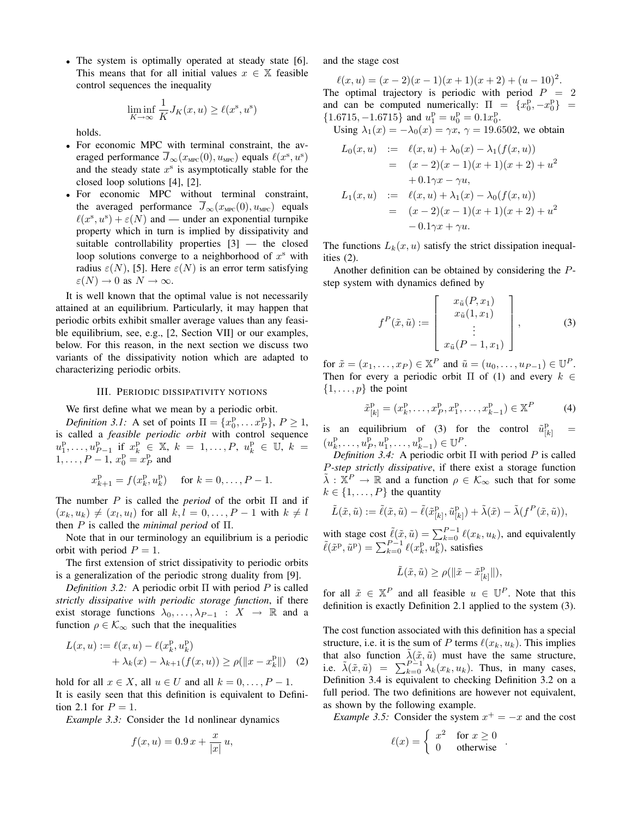• The system is optimally operated at steady state [6]. This means that for all initial values  $x \in \mathbb{X}$  feasible control sequences the inequality

$$
\liminf_{K \to \infty} \frac{1}{K} J_K(x, u) \ge \ell(x^s, u^s)
$$

holds.

- For economic MPC with terminal constraint, the averaged performance  $\overline{J}_{\infty}(x_{\text{\tiny MPC}}(0), u_{\text{\tiny MPC}})$  equals  $\ell(x^{\text{s}}, u^{\text{s}})$ and the steady state  $x^s$  is asymptotically stable for the closed loop solutions [4], [2].
- For economic MPC without terminal constraint, the averaged performance  $\overline{J}_{\infty}(x_{\text{MPC}}(0), u_{\text{MPC}})$  equals  $\ell(x^s, u^s) + \varepsilon(N)$  and — under an exponential turnpike property which in turn is implied by dissipativity and suitable controllability properties [3] — the closed loop solutions converge to a neighborhood of  $x^s$  with radius  $\varepsilon(N)$ , [5]. Here  $\varepsilon(N)$  is an error term satisfying  $\varepsilon(N) \to 0$  as  $N \to \infty$ .

It is well known that the optimal value is not necessarily attained at an equilibrium. Particularly, it may happen that periodic orbits exhibit smaller average values than any feasible equilibrium, see, e.g., [2, Section VII] or our examples, below. For this reason, in the next section we discuss two variants of the dissipativity notion which are adapted to characterizing periodic orbits.

## III. PERIODIC DISSIPATIVITY NOTIONS

We first define what we mean by a periodic orbit.

*Definition 3.1:* A set of points  $\Pi = \{x_0^p, \dots x_P^p\}, P \ge 1$ , is called a *feasible periodic orbit* with control sequence  $u_1^p, \ldots, u_{P-1}^p$  if  $x_k^p \in \mathbb{X}, k = 1, \ldots, P, u_k^p \in \mathbb{U}, k =$  $1, \ldots, P-1, x_0^p = x_P^p$  and

$$
x_{k+1}^{\mathrm{p}} = f(x_k^{\mathrm{p}}, u_k^{\mathrm{p}}) \quad \text{ for } k = 0, \ldots, P-1.
$$

The number P is called the *period* of the orbit  $\Pi$  and if  $(x_k, u_k) \neq (x_l, u_l)$  for all  $k, l = 0, \ldots, P-1$  with  $k \neq l$ then P is called the *minimal period* of Π.

Note that in our terminology an equilibrium is a periodic orbit with period  $P = 1$ .

The first extension of strict dissipativity to periodic orbits is a generalization of the periodic strong duality from [9].

*Definition 3.2:* A periodic orbit Π with period P is called *strictly dissipative with periodic storage function*, if there exist storage functions  $\lambda_0, \ldots, \lambda_{P-1} : X \to \mathbb{R}$  and a function  $\rho \in \mathcal{K}_{\infty}$  such that the inequalities

$$
L(x, u) := \ell(x, u) - \ell(x_k^p, u_k^p) + \lambda_k(x) - \lambda_{k+1}(f(x, u)) \ge \rho(||x - x_k^p||)
$$
 (2)

hold for all  $x \in X$ , all  $u \in U$  and all  $k = 0, \ldots, P - 1$ . It is easily seen that this definition is equivalent to Definition 2.1 for  $P = 1$ .

*Example 3.3:* Consider the 1d nonlinear dynamics

$$
f(x, u) = 0.9 x + \frac{x}{|x|} u,
$$

and the stage cost

 $\ell(x, u) = (x - 2)(x - 1)(x + 1)(x + 2) + (u - 10)^2$ . The optimal trajectory is periodic with period  $P = 2$ and can be computed numerically:  $\Pi = \{x_0^{\text{p}}, -x_0^{\text{p}}\}$  $\{1.6715, -1.6715\}$  and  $u_1^{\rm p} = u_0^{\rm p} = 0.1x_0^{\rm p}$ .

Using  $\lambda_1(x) = -\lambda_0(x) = \gamma x, \gamma = 19.6502$ , we obtain

$$
L_0(x, u) := \ell(x, u) + \lambda_0(x) - \lambda_1(f(x, u))
$$
  
=  $(x - 2)(x - 1)(x + 1)(x + 2) + u^2$   
+  $0.1\gamma x - \gamma u$ ,  

$$
L_1(x, u) := \ell(x, u) + \lambda_1(x) - \lambda_0(f(x, u))
$$
  
=  $(x - 2)(x - 1)(x + 1)(x + 2) + u^2$   
-  $0.1\gamma x + \gamma u$ .

The functions  $L_k(x, u)$  satisfy the strict dissipation inequalities (2).

Another definition can be obtained by considering the Pstep system with dynamics defined by

$$
f^{P}(\tilde{x}, \tilde{u}) := \begin{bmatrix} x_{\tilde{u}}(P, x_{1}) \\ x_{\tilde{u}}(1, x_{1}) \\ \vdots \\ x_{\tilde{u}}(P - 1, x_{1}) \end{bmatrix},
$$
(3)

for  $\tilde{x} = (x_1, \ldots, x_P) \in \mathbb{X}^P$  and  $\tilde{u} = (u_0, \ldots, u_{P-1}) \in \mathbb{U}^P$ . Then for every a periodic orbit  $\Pi$  of (1) and every  $k \in \mathbb{R}$  $\{1, \ldots, p\}$  the point

$$
\tilde{x}_{[k]}^{\mathrm{p}} = (x_k^{\mathrm{p}}, \dots, x_P^{\mathrm{p}}, x_1^{\mathrm{p}}, \dots, x_{k-1}^{\mathrm{p}}) \in \mathbb{X}^P \tag{4}
$$

is an equilibrium of (3) for the control  $\tilde{u}_{[k]}^{\text{p}} =$  $(u_k^{\text{p}}, \ldots, u_p^{\text{p}}, u_1^{\text{p}}, \ldots, u_{k-1}^{\text{p}}) \in \mathbb{U}^P.$ 

*Definition 3.4:* A periodic orbit  $\Pi$  with period  $P$  is called P*-step strictly dissipative*, if there exist a storage function  $\tilde{\lambda}: \mathbb{X}^P \to \mathbb{R}$  and a function  $\rho \in \mathcal{K}_{\infty}$  such that for some  $k \in \{1, \ldots, P\}$  the quantity

$$
\tilde{L}(\tilde{x}, \tilde{u}) := \tilde{\ell}(\tilde{x}, \tilde{u}) - \tilde{\ell}(\tilde{x}_{[k]}^{\text{p}}, \tilde{u}_{[k]}^{\text{p}}) + \tilde{\lambda}(\tilde{x}) - \tilde{\lambda}(f^P(\tilde{x}, \tilde{u})),
$$

with stage cost  $\tilde{\ell}(\tilde{x}, \tilde{u}) = \sum_{k=0}^{P-1} \ell(x_k, u_k)$ , and equivalently  $\tilde{\ell}(\tilde{x}^{\mathrm{p}}, \tilde{u}^{\mathrm{p}}) = \sum_{k=0}^{P-1} \ell(x^{\mathrm{p}}_k, u^{\mathrm{p}}_k)$ , satisfies

$$
\tilde{L}(\tilde{x}, \tilde{u}) \ge \rho(\|\tilde{x} - \tilde{x}_{[k]}^{\mathbf{p}}\|),
$$

for all  $\tilde{x} \in \mathbb{X}^P$  and all feasible  $u \in \mathbb{U}^P$ . Note that this definition is exactly Definition 2.1 applied to the system (3).

The cost function associated with this definition has a special structure, i.e. it is the sum of P terms  $\ell(x_k, u_k)$ . This implies that also function  $\lambda(\tilde{x}, \tilde{u})$  must have the same structure, i.e.  $\tilde{\lambda}(\tilde{x}, \tilde{u}) = \sum_{k=0}^{P-1} \lambda_k(x_k, u_k)$ . Thus, in many cases, Definition 3.4 is equivalent to checking Definition 3.2 on a full period. The two definitions are however not equivalent, as shown by the following example.

*Example 3.5:* Consider the system  $x^+ = -x$  and the cost

$$
\ell(x) = \begin{cases} x^2 & \text{for } x \ge 0 \\ 0 & \text{otherwise} \end{cases}.
$$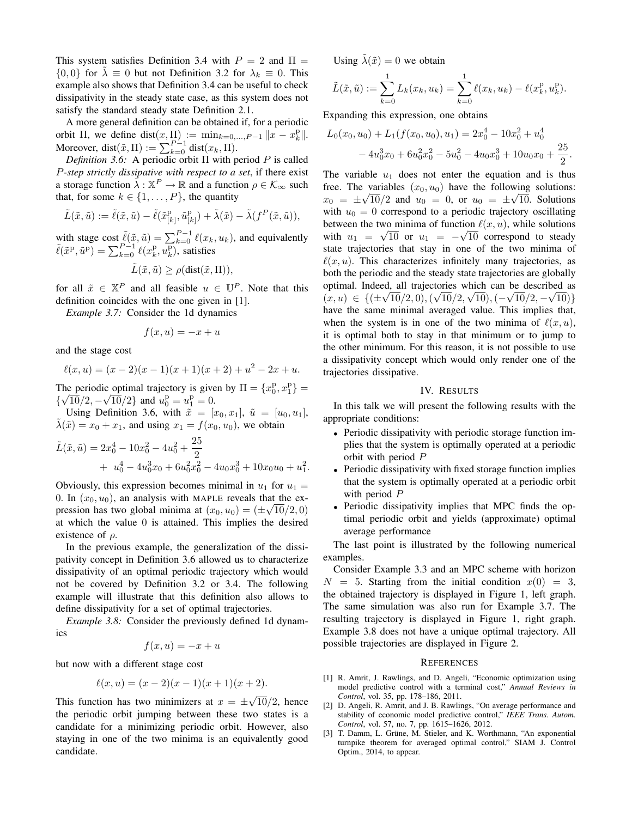This system satisfies Definition 3.4 with  $P = 2$  and  $\Pi =$  $\{0,0\}$  for  $\lambda \equiv 0$  but not Definition 3.2 for  $\lambda_k \equiv 0$ . This example also shows that Definition 3.4 can be useful to check dissipativity in the steady state case, as this system does not satisfy the standard steady state Definition 2.1.

A more general definition can be obtained if, for a periodic orbit  $\Pi$ , we define  $dist(x, \Pi) := \min_{k=0,\dots,P-1} ||x - x_k^p||$ . Moreover, dist $(\tilde{x}, \Pi) := \sum_{k=0}^{P-1} \text{dist}(x_k, \Pi)$ .

*Definition 3.6:* A periodic orbit Π with period P is called P*-step strictly dissipative with respect to a set*, if there exist a storage function  $\vec{\lambda} : \mathbb{X}^P \to \mathbb{R}$  and a function  $\rho \in \mathcal{K}_{\infty}$  such that, for some  $k \in \{1, \ldots, P\}$ , the quantity

$$
\tilde{L}(\tilde{x}, \tilde{u}) := \tilde{\ell}(\tilde{x}, \tilde{u}) - \tilde{\ell}(\tilde{x}_{[k]}^{\text{p}}, \tilde{u}_{[k]}^{\text{p}}) + \tilde{\lambda}(\tilde{x}) - \tilde{\lambda}(f^P(\tilde{x}, \tilde{u})),
$$

with stage cost  $\tilde{\ell}(\tilde{x}, \tilde{u}) = \sum_{k=0}^{P-1} \ell(x_k, u_k)$ , and equivalently  $\tilde{\ell}(\tilde{x}^{\mathrm{p}}, \tilde{u}^{\mathrm{p}}) = \sum_{k=0}^{P-1} \ell(x^{\mathrm{p}}_k, u^{\mathrm{p}}_k)$ , satisfies

$$
\tilde{L}(\tilde{x}, \tilde{u}) \ge \rho(\text{dist}(\tilde{x}, \Pi)),
$$

for all  $\tilde{x} \in \mathbb{X}^P$  and all feasible  $u \in \mathbb{U}^P$ . Note that this definition coincides with the one given in [1].

*Example 3.7:* Consider the 1d dynamics

$$
f(x, u) = -x + u
$$

and the stage cost

$$
\ell(x, u) = (x - 2)(x - 1)(x + 1)(x + 2) + u2 - 2x + u.
$$

The periodic optimal trajectory is given by  $\Pi = \{x_0^p, x_1^p\} = \left(\frac{1}{p}\right)$  $\{\sqrt{10}/2, -\sqrt{10}/2\}$  and  $u_0^{\mathrm{p}} = u_1^{\mathrm{p}} = 0$ .

Using Definition 3.6, with  $\tilde{x} = [x_0, x_1], \tilde{u} = [u_0, u_1],$  $\tilde{\lambda}(\tilde{x}) = x_0 + x_1$ , and using  $x_1 = f(x_0, u_0)$ , we obtain

$$
\tilde{L}(\tilde{x}, \tilde{u}) = 2x_0^4 - 10x_0^2 - 4u_0^2 + \frac{25}{2} \n+ u_0^4 - 4u_0^3x_0 + 6u_0^2x_0^2 - 4u_0x_0^3 + 10x_0u_0 + u_1^2.
$$

Obviously, this expression becomes minimal in  $u_1$  for  $u_1$  = 0. In  $(x_0, u_0)$ , an analysis with MAPLE reveals that the expression has two global minima at  $(x_0, u_0) = (\pm \sqrt{10/2}, 0)$ at which the value 0 is attained. This implies the desired existence of  $\rho$ .

In the previous example, the generalization of the dissipativity concept in Definition 3.6 allowed us to characterize dissipativity of an optimal periodic trajectory which would not be covered by Definition 3.2 or 3.4. The following example will illustrate that this definition also allows to define dissipativity for a set of optimal trajectories.

*Example 3.8:* Consider the previously defined 1d dynamics

$$
f(x, u) = -x + u
$$

but now with a different stage cost

$$
\ell(x, u) = (x - 2)(x - 1)(x + 1)(x + 2).
$$

This function has two minimizers at  $x = \pm$ √  $10/2$ , hence the periodic orbit jumping between these two states is a candidate for a minimizing periodic orbit. However, also staying in one of the two minima is an equivalently good candidate.

Using  $\lambda(\tilde{x}) = 0$  we obtain

$$
\tilde{L}(\tilde{x}, \tilde{u}) := \sum_{k=0}^{1} L_k(x_k, u_k) = \sum_{k=0}^{1} \ell(x_k, u_k) - \ell(x_k^{\mathrm{p}}, u_k^{\mathrm{p}}).
$$

Expanding this expression, one obtains

$$
L_0(x_0, u_0) + L_1(f(x_0, u_0), u_1) = 2x_0^4 - 10x_0^2 + u_0^4
$$
  
- 4u\_0^3x\_0 + 6u\_0^2x\_0^2 - 5u\_0^2 - 4u\_0x\_0^3 + 10u\_0x\_0 + \frac{25}{2}.

The variable  $u_1$  does not enter the equation and is thus free. The variables  $(x_0, u_0)$  have the following solutions:  $x_0 = \pm \sqrt{10/2}$  and  $u_0 = 0$ , or  $u_0 = \pm \sqrt{10}$ . Solutions with  $u_0 = 0$  correspond to a periodic trajectory oscillating between the two minima of function  $\ell(x, u)$ , while solutions with  $u_1 = \sqrt{10}$  or  $u_1 = -\sqrt{10}$  correspond to steady state trajectories that stay in one of the two minima of  $\ell(x, u)$ . This characterizes infinitely many trajectories, as both the periodic and the steady state trajectories are globally optimal. Indeed, all trajectories which can be described as √ √ √ √ √  $(x, u) \in \{(\pm\sqrt{10/2}, 0), (\sqrt{10/2}, \sqrt{10}), (-\sqrt{10/2}, -\sqrt{10})\}$ have the same minimal averaged value. This implies that, when the system is in one of the two minima of  $\ell(x, u)$ , it is optimal both to stay in that minimum or to jump to the other minimum. For this reason, it is not possible to use a dissipativity concept which would only render one of the trajectories dissipative.

## IV. RESULTS

In this talk we will present the following results with the appropriate conditions:

- Periodic dissipativity with periodic storage function implies that the system is optimally operated at a periodic orbit with period P
- Periodic dissipativity with fixed storage function implies that the system is optimally operated at a periodic orbit with period P
- Periodic dissipativity implies that MPC finds the optimal periodic orbit and yields (approximate) optimal average performance

The last point is illustrated by the following numerical examples.

Consider Example 3.3 and an MPC scheme with horizon  $N = 5$ . Starting from the initial condition  $x(0) = 3$ , the obtained trajectory is displayed in Figure 1, left graph. The same simulation was also run for Example 3.7. The resulting trajectory is displayed in Figure 1, right graph. Example 3.8 does not have a unique optimal trajectory. All possible trajectories are displayed in Figure 2.

## **REFERENCES**

- [1] R. Amrit, J. Rawlings, and D. Angeli, "Economic optimization using model predictive control with a terminal cost," *Annual Reviews in Control*, vol. 35, pp. 178–186, 2011.
- [2] D. Angeli, R. Amrit, and J. B. Rawlings, "On average performance and stability of economic model predictive control," *IEEE Trans. Autom. Control*, vol. 57, no. 7, pp. 1615–1626, 2012.
- [3] T. Damm, L. Grüne, M. Stieler, and K. Worthmann, "An exponential turnpike theorem for averaged optimal control," SIAM J. Control Optim., 2014, to appear.